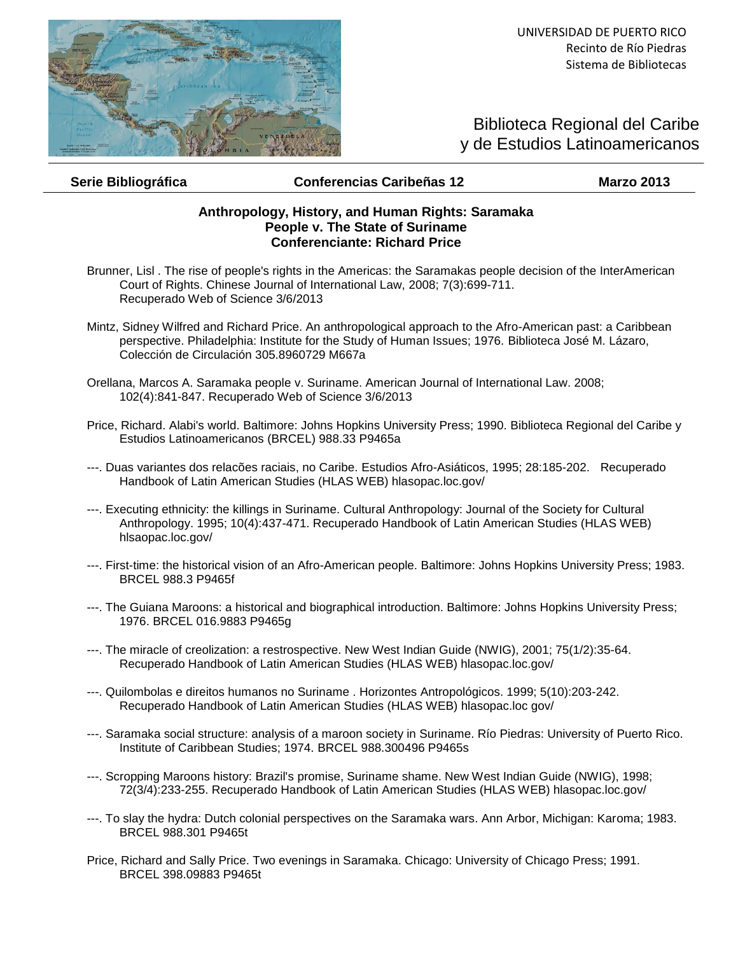

## Biblioteca Regional del Caribe y de Estudios Latinoamericanos

## **Serie Bibliográfica Conferencias Caribeñas 12 Marzo 2013**

## **Anthropology, History, and Human Rights: Saramaka People v. The State of Suriname Conferenciante: Richard Price**

- Brunner, Lisl . The rise of people's rights in the Americas: the Saramakas people decision of the InterAmerican Court of Rights. Chinese Journal of International Law, 2008; 7(3):699-711. Recuperado Web of Science 3/6/2013
- Mintz, Sidney Wilfred and Richard Price. An anthropological approach to the Afro-American past: a Caribbean perspective. Philadelphia: Institute for the Study of Human Issues; 1976. Biblioteca José M. Lázaro, Colección de Circulación 305.8960729 M667a
- Orellana, Marcos A. Saramaka people v. Suriname. American Journal of International Law. 2008; 102(4):841-847. Recuperado Web of Science 3/6/2013
- Price, Richard. Alabi's world. Baltimore: Johns Hopkins University Press; 1990. Biblioteca Regional del Caribe y Estudios Latinoamericanos (BRCEL) 988.33 P9465a
- ---. Duas variantes dos relacões raciais, no Caribe. Estudios Afro-Asiáticos, 1995; 28:185-202. Recuperado Handbook of Latin American Studies (HLAS WEB) hlasopac.loc.gov/
- ---. Executing ethnicity: the killings in Suriname. Cultural Anthropology: Journal of the Society for Cultural Anthropology. 1995; 10(4):437-471. Recuperado Handbook of Latin American Studies (HLAS WEB) hlsaopac.loc.gov/
- ---. First-time: the historical vision of an Afro-American people. Baltimore: Johns Hopkins University Press; 1983. BRCEL 988.3 P9465f
- ---. The Guiana Maroons: a historical and biographical introduction. Baltimore: Johns Hopkins University Press; 1976. BRCEL 016.9883 P9465g
- ---. The miracle of creolization: a restrospective. New West Indian Guide (NWIG), 2001; 75(1/2):35-64. Recuperado Handbook of Latin American Studies (HLAS WEB) hlasopac.loc.gov/
- ---. Quilombolas e direitos humanos no Suriname . Horizontes Antropológicos. 1999; 5(10):203-242. Recuperado Handbook of Latin American Studies (HLAS WEB) hlasopac.loc gov/
- ---. Saramaka social structure: analysis of a maroon society in Suriname. Río Piedras: University of Puerto Rico. Institute of Caribbean Studies; 1974. BRCEL 988.300496 P9465s
- ---. Scropping Maroons history: Brazil's promise, Suriname shame. New West Indian Guide (NWIG), 1998; 72(3/4):233-255. Recuperado Handbook of Latin American Studies (HLAS WEB) hlasopac.loc.gov/
- ---. To slay the hydra: Dutch colonial perspectives on the Saramaka wars. Ann Arbor, Michigan: Karoma; 1983. BRCEL 988.301 P9465t
- Price, Richard and Sally Price. Two evenings in Saramaka. Chicago: University of Chicago Press; 1991. BRCEL 398.09883 P9465t